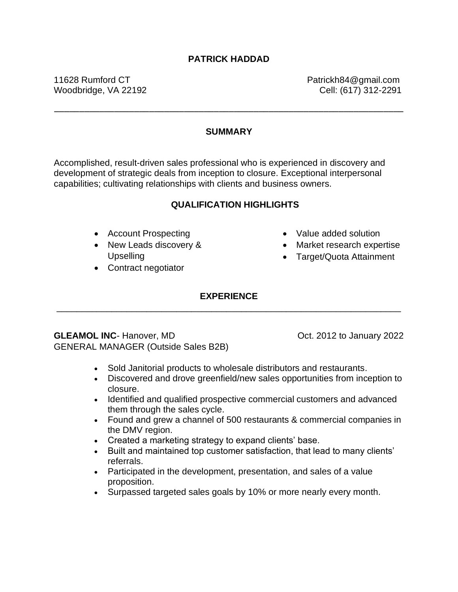## **PATRICK HADDAD**

11628 Rumford CT example 2012 11628 Rumford CT Woodbridge, VA 22192 **Cell: (617)** 312-2291

### **SUMMARY**

––––––––––––––––––––––––––––––––––––––––––––––––––––––––––––––––––––––

Accomplished, result-driven sales professional who is experienced in discovery and development of strategic deals from inception to closure. Exceptional interpersonal capabilities; cultivating relationships with clients and business owners.

#### **QUALIFICATION HIGHLIGHTS**

- Account Prospecting
- New Leads discovery & Upselling
- Contract negotiator
- Value added solution
- Market research expertise
- Target/Quota Attainment

## **EXPERIENCE** \_\_\_\_\_\_\_\_\_\_\_\_\_\_\_\_\_\_\_\_\_\_\_\_\_\_\_\_\_\_\_\_\_\_\_\_\_\_\_\_\_\_\_\_\_\_\_\_\_\_\_\_\_\_\_\_\_\_\_\_\_\_\_\_\_\_\_\_\_

**GLEAMOL INC**- Hanover, MD CLEAMOL 10 COL. 2012 to January 2022 GENERAL MANAGER (Outside Sales B2B)

- Sold Janitorial products to wholesale distributors and restaurants.
- Discovered and drove greenfield/new sales opportunities from inception to closure.
- Identified and qualified prospective commercial customers and advanced them through the sales cycle.
- Found and grew a channel of 500 restaurants & commercial companies in the DMV region.
- Created a marketing strategy to expand clients' base.
- Built and maintained top customer satisfaction, that lead to many clients' referrals.
- Participated in the development, presentation, and sales of a value proposition.
- Surpassed targeted sales goals by 10% or more nearly every month.